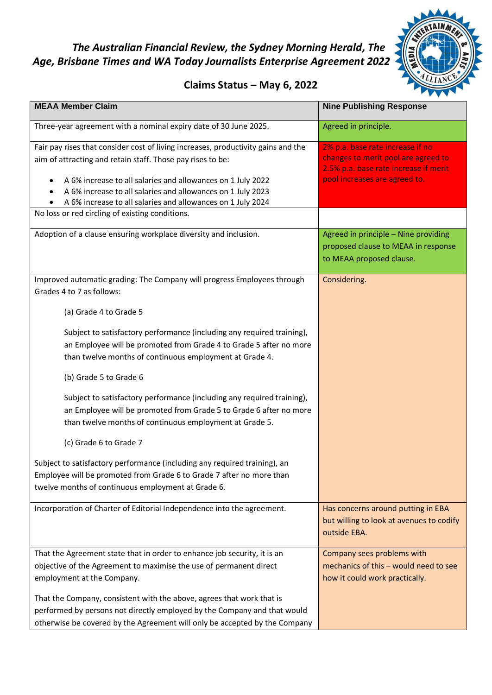## *The Australian Financial Review, the Sydney Morning Herald, The Age, Brisbane Times and WA Today Journalists Enterprise Agreement 2022*



## **Claims Status – May 6, 2022**

| <b>MEAA Member Claim</b>                                                                                                                                                                                                                                                                                                                     | <b>Nine Publishing Response</b>                                                                                                                   |
|----------------------------------------------------------------------------------------------------------------------------------------------------------------------------------------------------------------------------------------------------------------------------------------------------------------------------------------------|---------------------------------------------------------------------------------------------------------------------------------------------------|
| Three-year agreement with a nominal expiry date of 30 June 2025.                                                                                                                                                                                                                                                                             | Agreed in principle.                                                                                                                              |
| Fair pay rises that consider cost of living increases, productivity gains and the<br>aim of attracting and retain staff. Those pay rises to be:<br>A 6% increase to all salaries and allowances on 1 July 2022<br>A 6% increase to all salaries and allowances on 1 July 2023<br>A 6% increase to all salaries and allowances on 1 July 2024 | 2% p.a. base rate increase if no<br>changes to merit pool are agreed to<br>2.5% p.a. base rate increase if merit<br>pool increases are agreed to. |
| No loss or red circling of existing conditions.                                                                                                                                                                                                                                                                                              |                                                                                                                                                   |
| Adoption of a clause ensuring workplace diversity and inclusion.                                                                                                                                                                                                                                                                             | Agreed in principle - Nine providing<br>proposed clause to MEAA in response<br>to MEAA proposed clause.                                           |
| Improved automatic grading: The Company will progress Employees through<br>Grades 4 to 7 as follows:                                                                                                                                                                                                                                         | Considering.                                                                                                                                      |
| (a) Grade 4 to Grade 5                                                                                                                                                                                                                                                                                                                       |                                                                                                                                                   |
| Subject to satisfactory performance (including any required training),<br>an Employee will be promoted from Grade 4 to Grade 5 after no more<br>than twelve months of continuous employment at Grade 4.                                                                                                                                      |                                                                                                                                                   |
| (b) Grade 5 to Grade 6                                                                                                                                                                                                                                                                                                                       |                                                                                                                                                   |
| Subject to satisfactory performance (including any required training),<br>an Employee will be promoted from Grade 5 to Grade 6 after no more<br>than twelve months of continuous employment at Grade 5.                                                                                                                                      |                                                                                                                                                   |
| (c) Grade 6 to Grade 7                                                                                                                                                                                                                                                                                                                       |                                                                                                                                                   |
| Subject to satisfactory performance (including any required training), an<br>Employee will be promoted from Grade 6 to Grade 7 after no more than<br>twelve months of continuous employment at Grade 6.                                                                                                                                      |                                                                                                                                                   |
| Incorporation of Charter of Editorial Independence into the agreement.                                                                                                                                                                                                                                                                       | Has concerns around putting in EBA<br>but willing to look at avenues to codify<br>outside EBA.                                                    |
| That the Agreement state that in order to enhance job security, it is an<br>objective of the Agreement to maximise the use of permanent direct<br>employment at the Company.                                                                                                                                                                 | Company sees problems with<br>mechanics of this - would need to see<br>how it could work practically.                                             |
| That the Company, consistent with the above, agrees that work that is<br>performed by persons not directly employed by the Company and that would<br>otherwise be covered by the Agreement will only be accepted by the Company                                                                                                              |                                                                                                                                                   |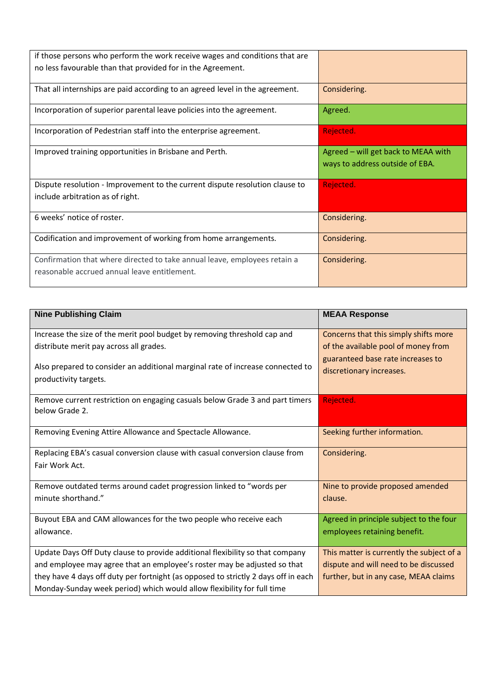| if those persons who perform the work receive wages and conditions that are<br>no less favourable than that provided for in the Agreement. |                                                                        |
|--------------------------------------------------------------------------------------------------------------------------------------------|------------------------------------------------------------------------|
| That all internships are paid according to an agreed level in the agreement.                                                               | Considering.                                                           |
| Incorporation of superior parental leave policies into the agreement.                                                                      | Agreed.                                                                |
| Incorporation of Pedestrian staff into the enterprise agreement.                                                                           | Rejected.                                                              |
| Improved training opportunities in Brisbane and Perth.                                                                                     | Agreed - will get back to MEAA with<br>ways to address outside of EBA. |
| Dispute resolution - Improvement to the current dispute resolution clause to<br>include arbitration as of right.                           | Rejected.                                                              |
|                                                                                                                                            |                                                                        |
| 6 weeks' notice of roster.                                                                                                                 | Considering.                                                           |
| Codification and improvement of working from home arrangements.                                                                            | Considering.                                                           |

| <b>Nine Publishing Claim</b>                                                       | <b>MEAA Response</b>                      |
|------------------------------------------------------------------------------------|-------------------------------------------|
| Increase the size of the merit pool budget by removing threshold cap and           | Concerns that this simply shifts more     |
| distribute merit pay across all grades.                                            | of the available pool of money from       |
|                                                                                    | guaranteed base rate increases to         |
| Also prepared to consider an additional marginal rate of increase connected to     | discretionary increases.                  |
| productivity targets.                                                              |                                           |
| Remove current restriction on engaging casuals below Grade 3 and part timers       | Rejected.                                 |
| below Grade 2.                                                                     |                                           |
| Removing Evening Attire Allowance and Spectacle Allowance.                         | Seeking further information.              |
|                                                                                    |                                           |
| Replacing EBA's casual conversion clause with casual conversion clause from        | Considering.                              |
| Fair Work Act.                                                                     |                                           |
| Remove outdated terms around cadet progression linked to "words per                | Nine to provide proposed amended          |
| minute shorthand."                                                                 | clause.                                   |
|                                                                                    |                                           |
| Buyout EBA and CAM allowances for the two people who receive each<br>allowance.    | Agreed in principle subject to the four   |
|                                                                                    | employees retaining benefit.              |
| Update Days Off Duty clause to provide additional flexibility so that company      | This matter is currently the subject of a |
| and employee may agree that an employee's roster may be adjusted so that           | dispute and will need to be discussed     |
| they have 4 days off duty per fortnight (as opposed to strictly 2 days off in each | further, but in any case, MEAA claims     |
| Monday-Sunday week period) which would allow flexibility for full time             |                                           |